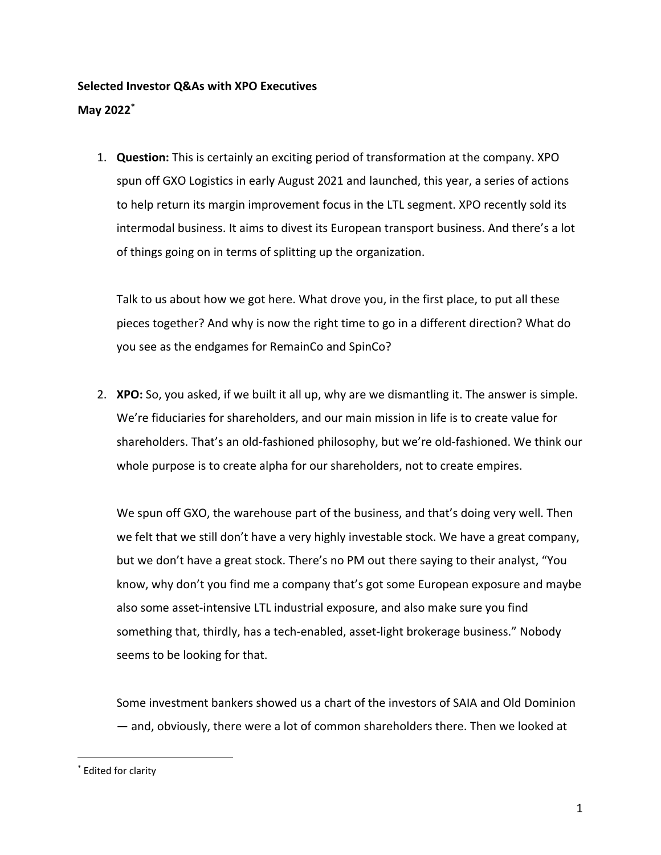## **Selected Investor Q&As with XPO Executives**

## **May 2022\***

1. **Question:** This is certainly an exciting period of transformation at the company. XPO spun off GXO Logistics in early August 2021 and launched, this year, a series of actions to help return its margin improvement focus in the LTL segment. XPO recently sold its intermodal business. It aims to divest its European transport business. And there's a lot of things going on in terms of splitting up the organization.

Talk to us about how we got here. What drove you, in the first place, to put all these pieces together? And why is now the right time to go in a different direction? What do you see as the endgames for RemainCo and SpinCo?

2. **XPO:** So, you asked, if we built it all up, why are we dismantling it. The answer is simple. We're fiduciaries for shareholders, and our main mission in life is to create value for shareholders. That's an old-fashioned philosophy, but we're old-fashioned. We think our whole purpose is to create alpha for our shareholders, not to create empires.

We spun off GXO, the warehouse part of the business, and that's doing very well. Then we felt that we still don't have a very highly investable stock. We have a great company, but we don't have a great stock. There's no PM out there saying to their analyst, "You know, why don't you find me a company that's got some European exposure and maybe also some asset-intensive LTL industrial exposure, and also make sure you find something that, thirdly, has a tech-enabled, asset-light brokerage business." Nobody seems to be looking for that.

Some investment bankers showed us a chart of the investors of SAIA and Old Dominion — and, obviously, there were a lot of common shareholders there. Then we looked at

<sup>\*</sup> Edited for clarity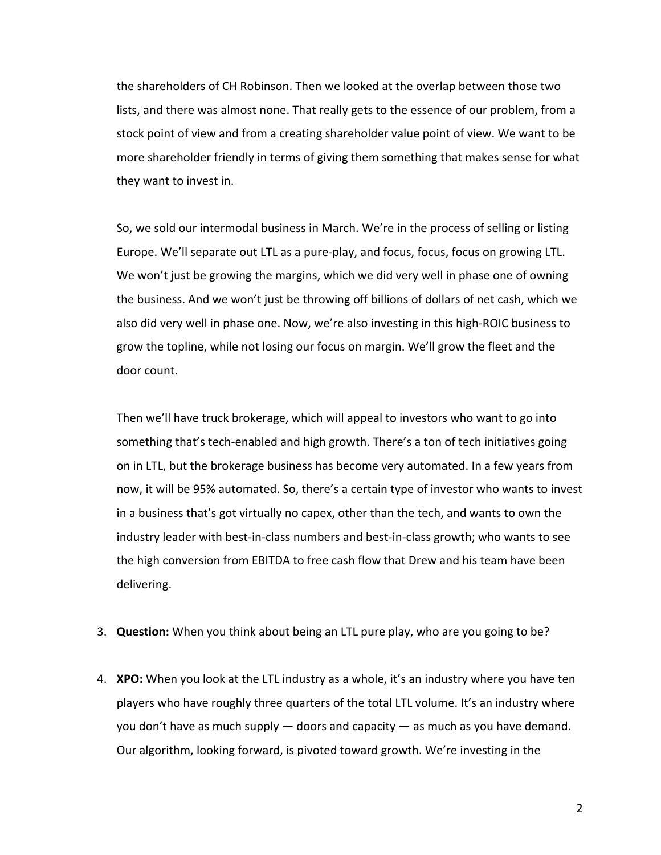the shareholders of CH Robinson. Then we looked at the overlap between those two lists, and there was almost none. That really gets to the essence of our problem, from a stock point of view and from a creating shareholder value point of view. We want to be more shareholder friendly in terms of giving them something that makes sense for what they want to invest in.

So, we sold our intermodal business in March. We're in the process of selling or listing Europe. We'll separate out LTL as a pure-play, and focus, focus, focus on growing LTL. We won't just be growing the margins, which we did very well in phase one of owning the business. And we won't just be throwing off billions of dollars of net cash, which we also did very well in phase one. Now, we're also investing in this high-ROIC business to grow the topline, while not losing our focus on margin. We'll grow the fleet and the door count.

Then we'll have truck brokerage, which will appeal to investors who want to go into something that's tech-enabled and high growth. There's a ton of tech initiatives going on in LTL, but the brokerage business has become very automated. In a few years from now, it will be 95% automated. So, there's a certain type of investor who wants to invest in a business that's got virtually no capex, other than the tech, and wants to own the industry leader with best-in-class numbers and best-in-class growth; who wants to see the high conversion from EBITDA to free cash flow that Drew and his team have been delivering.

- 3. **Question:** When you think about being an LTL pure play, who are you going to be?
- 4. **XPO:** When you look at the LTL industry as a whole, it's an industry where you have ten players who have roughly three quarters of the total LTL volume. It's an industry where you don't have as much supply — doors and capacity — as much as you have demand. Our algorithm, looking forward, is pivoted toward growth. We're investing in the

2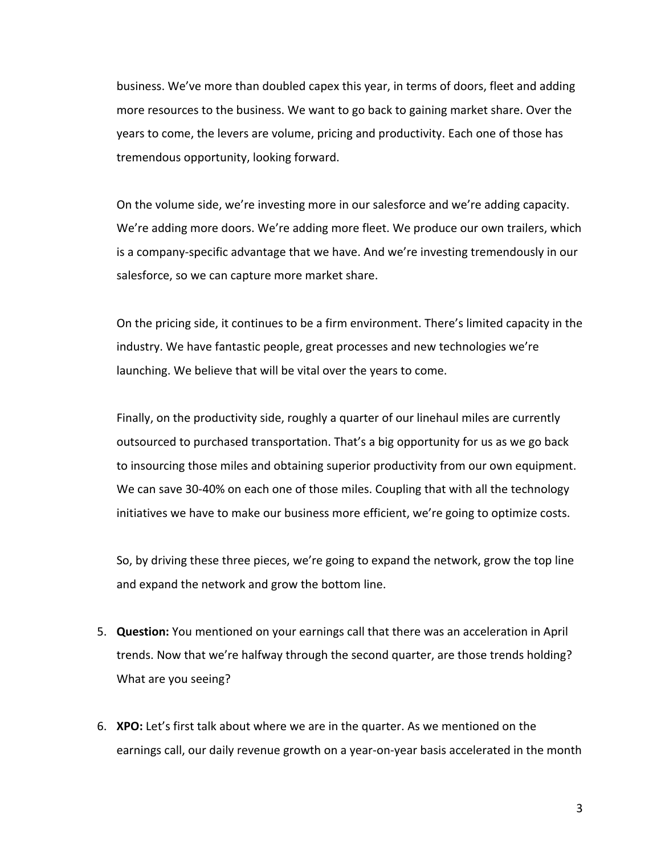business. We've more than doubled capex this year, in terms of doors, fleet and adding more resources to the business. We want to go back to gaining market share. Over the years to come, the levers are volume, pricing and productivity. Each one of those has tremendous opportunity, looking forward.

On the volume side, we're investing more in our salesforce and we're adding capacity. We're adding more doors. We're adding more fleet. We produce our own trailers, which is a company-specific advantage that we have. And we're investing tremendously in our salesforce, so we can capture more market share.

On the pricing side, it continues to be a firm environment. There's limited capacity in the industry. We have fantastic people, great processes and new technologies we're launching. We believe that will be vital over the years to come.

Finally, on the productivity side, roughly a quarter of our linehaul miles are currently outsourced to purchased transportation. That's a big opportunity for us as we go back to insourcing those miles and obtaining superior productivity from our own equipment. We can save 30-40% on each one of those miles. Coupling that with all the technology initiatives we have to make our business more efficient, we're going to optimize costs.

So, by driving these three pieces, we're going to expand the network, grow the top line and expand the network and grow the bottom line.

- 5. **Question:** You mentioned on your earnings call that there was an acceleration in April trends. Now that we're halfway through the second quarter, are those trends holding? What are you seeing?
- 6. **XPO:** Let's first talk about where we are in the quarter. As we mentioned on the earnings call, our daily revenue growth on a year-on-year basis accelerated in the month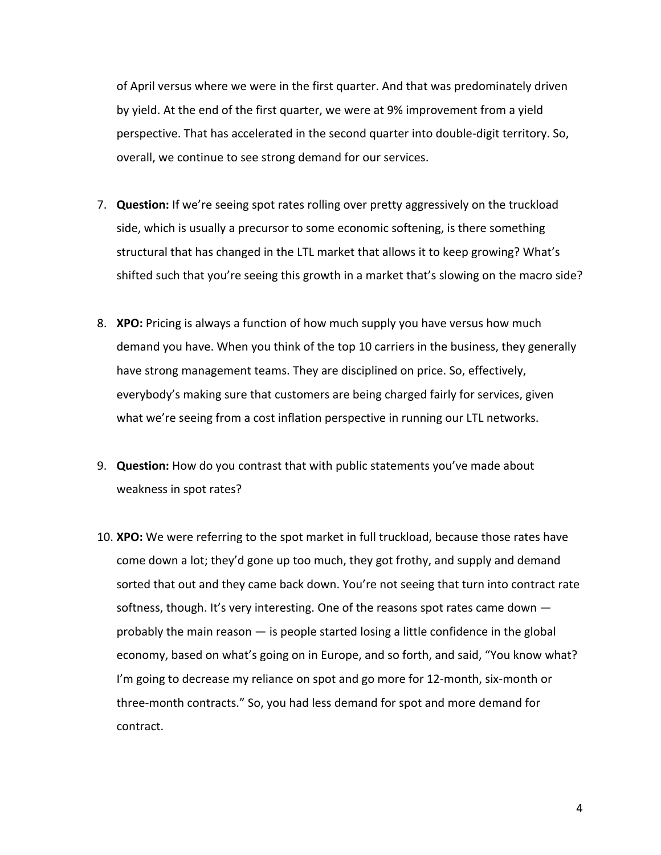of April versus where we were in the first quarter. And that was predominately driven by yield. At the end of the first quarter, we were at 9% improvement from a yield perspective. That has accelerated in the second quarter into double-digit territory. So, overall, we continue to see strong demand for our services.

- 7. **Question:** If we're seeing spot rates rolling over pretty aggressively on the truckload side, which is usually a precursor to some economic softening, is there something structural that has changed in the LTL market that allows it to keep growing? What's shifted such that you're seeing this growth in a market that's slowing on the macro side?
- 8. **XPO:** Pricing is always a function of how much supply you have versus how much demand you have. When you think of the top 10 carriers in the business, they generally have strong management teams. They are disciplined on price. So, effectively, everybody's making sure that customers are being charged fairly for services, given what we're seeing from a cost inflation perspective in running our LTL networks.
- 9. **Question:** How do you contrast that with public statements you've made about weakness in spot rates?
- 10. **XPO:** We were referring to the spot market in full truckload, because those rates have come down a lot; they'd gone up too much, they got frothy, and supply and demand sorted that out and they came back down. You're not seeing that turn into contract rate softness, though. It's very interesting. One of the reasons spot rates came down probably the main reason — is people started losing a little confidence in the global economy, based on what's going on in Europe, and so forth, and said, "You know what? I'm going to decrease my reliance on spot and go more for 12-month, six-month or three-month contracts." So, you had less demand for spot and more demand for contract.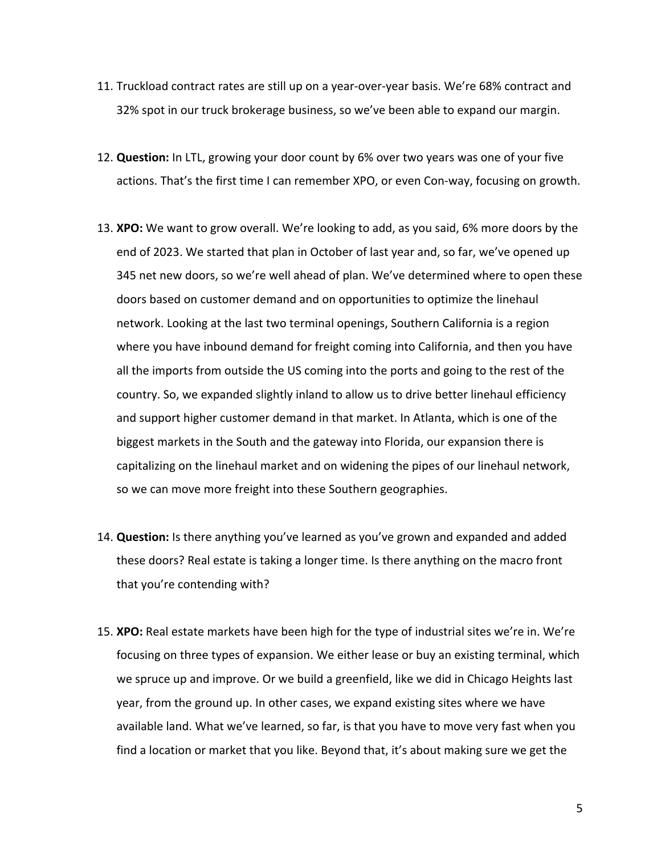- 11. Truckload contract rates are still up on a year-over-year basis. We're 68% contract and 32% spot in our truck brokerage business, so we've been able to expand our margin.
- 12. **Question:** In LTL, growing your door count by 6% over two years was one of your five actions. That's the first time I can remember XPO, or even Con-way, focusing on growth.
- 13. **XPO:** We want to grow overall. We're looking to add, as you said, 6% more doors by the end of 2023. We started that plan in October of last year and, so far, we've opened up 345 net new doors, so we're well ahead of plan. We've determined where to open these doors based on customer demand and on opportunities to optimize the linehaul network. Looking at the last two terminal openings, Southern California is a region where you have inbound demand for freight coming into California, and then you have all the imports from outside the US coming into the ports and going to the rest of the country. So, we expanded slightly inland to allow us to drive better linehaul efficiency and support higher customer demand in that market. In Atlanta, which is one of the biggest markets in the South and the gateway into Florida, our expansion there is capitalizing on the linehaul market and on widening the pipes of our linehaul network, so we can move more freight into these Southern geographies.
- 14. **Question:** Is there anything you've learned as you've grown and expanded and added these doors? Real estate is taking a longer time. Is there anything on the macro front that you're contending with?
- 15. **XPO:** Real estate markets have been high for the type of industrial sites we're in. We're focusing on three types of expansion. We either lease or buy an existing terminal, which we spruce up and improve. Or we build a greenfield, like we did in Chicago Heights last year, from the ground up. In other cases, we expand existing sites where we have available land. What we've learned, so far, is that you have to move very fast when you find a location or market that you like. Beyond that, it's about making sure we get the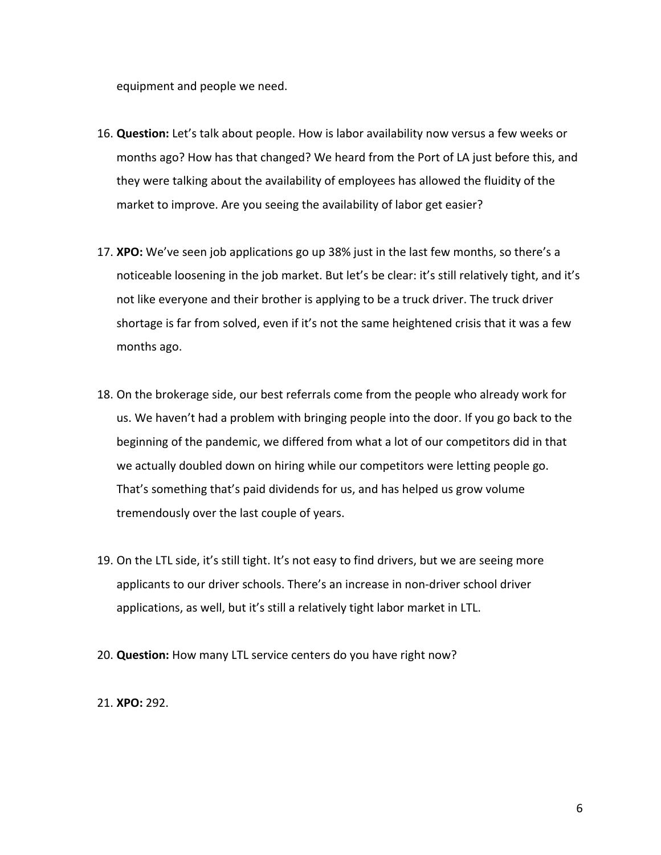equipment and people we need.

- 16. **Question:** Let's talk about people. How is labor availability now versus a few weeks or months ago? How has that changed? We heard from the Port of LA just before this, and they were talking about the availability of employees has allowed the fluidity of the market to improve. Are you seeing the availability of labor get easier?
- 17. **XPO:** We've seen job applications go up 38% just in the last few months, so there's a noticeable loosening in the job market. But let's be clear: it's still relatively tight, and it's not like everyone and their brother is applying to be a truck driver. The truck driver shortage is far from solved, even if it's not the same heightened crisis that it was a few months ago.
- 18. On the brokerage side, our best referrals come from the people who already work for us. We haven't had a problem with bringing people into the door. If you go back to the beginning of the pandemic, we differed from what a lot of our competitors did in that we actually doubled down on hiring while our competitors were letting people go. That's something that's paid dividends for us, and has helped us grow volume tremendously over the last couple of years.
- 19. On the LTL side, it's still tight. It's not easy to find drivers, but we are seeing more applicants to our driver schools. There's an increase in non-driver school driver applications, as well, but it's still a relatively tight labor market in LTL.
- 20. **Question:** How many LTL service centers do you have right now?
- 21. **XPO:** 292.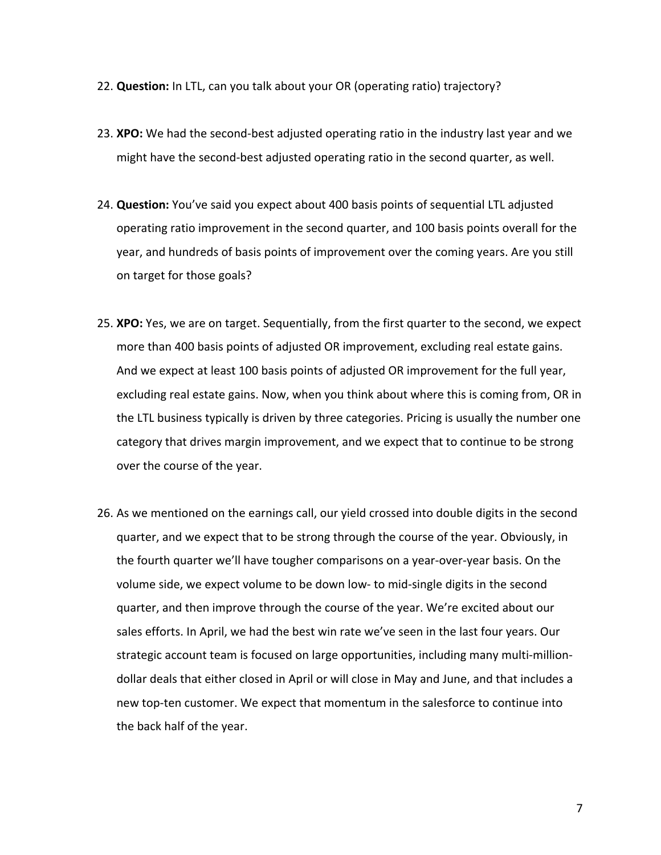- 22. **Question:** In LTL, can you talk about your OR (operating ratio) trajectory?
- 23. **XPO:** We had the second-best adjusted operating ratio in the industry last year and we might have the second-best adjusted operating ratio in the second quarter, as well.
- 24. **Question:** You've said you expect about 400 basis points of sequential LTL adjusted operating ratio improvement in the second quarter, and 100 basis points overall for the year, and hundreds of basis points of improvement over the coming years. Are you still on target for those goals?
- 25. **XPO:** Yes, we are on target. Sequentially, from the first quarter to the second, we expect more than 400 basis points of adjusted OR improvement, excluding real estate gains. And we expect at least 100 basis points of adjusted OR improvement for the full year, excluding real estate gains. Now, when you think about where this is coming from, OR in the LTL business typically is driven by three categories. Pricing is usually the number one category that drives margin improvement, and we expect that to continue to be strong over the course of the year.
- 26. As we mentioned on the earnings call, our yield crossed into double digits in the second quarter, and we expect that to be strong through the course of the year. Obviously, in the fourth quarter we'll have tougher comparisons on a year-over-year basis. On the volume side, we expect volume to be down low- to mid-single digits in the second quarter, and then improve through the course of the year. We're excited about our sales efforts. In April, we had the best win rate we've seen in the last four years. Our strategic account team is focused on large opportunities, including many multi-milliondollar deals that either closed in April or will close in May and June, and that includes a new top-ten customer. We expect that momentum in the salesforce to continue into the back half of the year.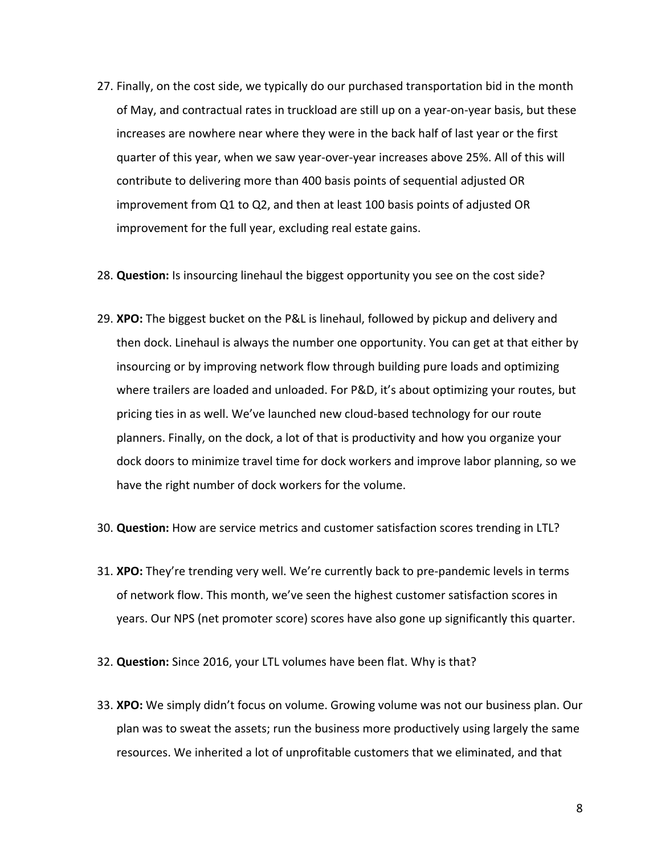- 27. Finally, on the cost side, we typically do our purchased transportation bid in the month of May, and contractual rates in truckload are still up on a year-on-year basis, but these increases are nowhere near where they were in the back half of last year or the first quarter of this year, when we saw year-over-year increases above 25%. All of this will contribute to delivering more than 400 basis points of sequential adjusted OR improvement from Q1 to Q2, and then at least 100 basis points of adjusted OR improvement for the full year, excluding real estate gains.
- 28. **Question:** Is insourcing linehaul the biggest opportunity you see on the cost side?
- 29. **XPO:** The biggest bucket on the P&L is linehaul, followed by pickup and delivery and then dock. Linehaul is always the number one opportunity. You can get at that either by insourcing or by improving network flow through building pure loads and optimizing where trailers are loaded and unloaded. For P&D, it's about optimizing your routes, but pricing ties in as well. We've launched new cloud-based technology for our route planners. Finally, on the dock, a lot of that is productivity and how you organize your dock doors to minimize travel time for dock workers and improve labor planning, so we have the right number of dock workers for the volume.
- 30. **Question:** How are service metrics and customer satisfaction scores trending in LTL?
- 31. **XPO:** They're trending very well. We're currently back to pre-pandemic levels in terms of network flow. This month, we've seen the highest customer satisfaction scores in years. Our NPS (net promoter score) scores have also gone up significantly this quarter.
- 32. **Question:** Since 2016, your LTL volumes have been flat. Why is that?
- 33. **XPO:** We simply didn't focus on volume. Growing volume was not our business plan. Our plan was to sweat the assets; run the business more productively using largely the same resources. We inherited a lot of unprofitable customers that we eliminated, and that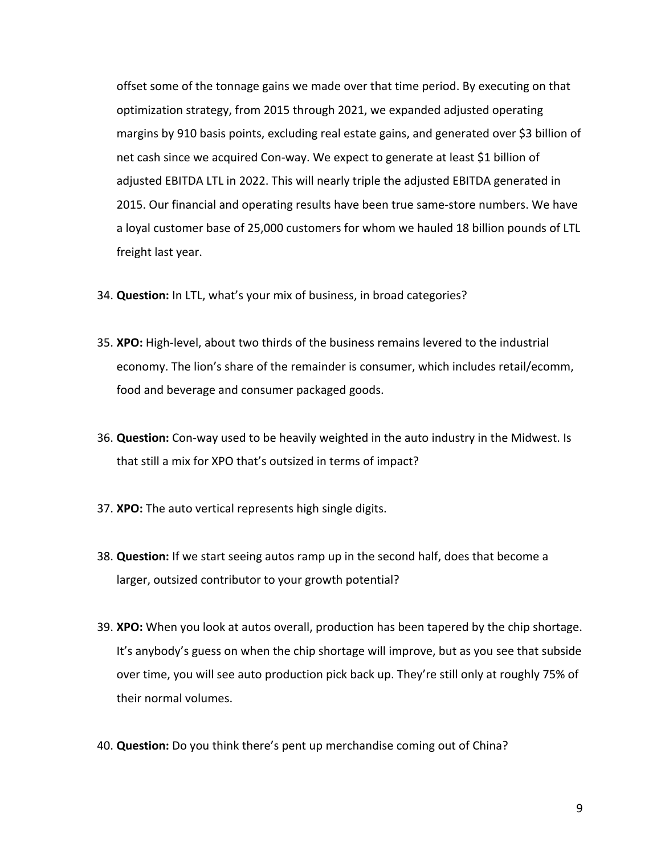offset some of the tonnage gains we made over that time period. By executing on that optimization strategy, from 2015 through 2021, we expanded adjusted operating margins by 910 basis points, excluding real estate gains, and generated over \$3 billion of net cash since we acquired Con-way. We expect to generate at least \$1 billion of adjusted EBITDA LTL in 2022. This will nearly triple the adjusted EBITDA generated in 2015. Our financial and operating results have been true same-store numbers. We have a loyal customer base of 25,000 customers for whom we hauled 18 billion pounds of LTL freight last year.

- 34. **Question:** In LTL, what's your mix of business, in broad categories?
- 35. **XPO:** High-level, about two thirds of the business remains levered to the industrial economy. The lion's share of the remainder is consumer, which includes retail/ecomm, food and beverage and consumer packaged goods.
- 36. **Question:** Con-way used to be heavily weighted in the auto industry in the Midwest. Is that still a mix for XPO that's outsized in terms of impact?
- 37. **XPO:** The auto vertical represents high single digits.
- 38. **Question:** If we start seeing autos ramp up in the second half, does that become a larger, outsized contributor to your growth potential?
- 39. **XPO:** When you look at autos overall, production has been tapered by the chip shortage. It's anybody's guess on when the chip shortage will improve, but as you see that subside over time, you will see auto production pick back up. They're still only at roughly 75% of their normal volumes.
- 40. **Question:** Do you think there's pent up merchandise coming out of China?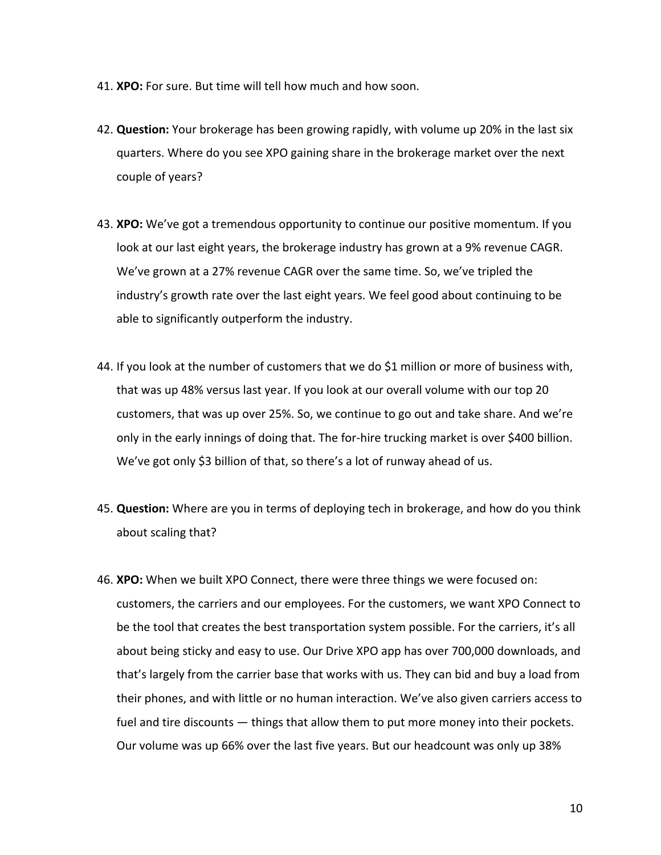- 41. **XPO:** For sure. But time will tell how much and how soon.
- 42. **Question:** Your brokerage has been growing rapidly, with volume up 20% in the last six quarters. Where do you see XPO gaining share in the brokerage market over the next couple of years?
- 43. **XPO:** We've got a tremendous opportunity to continue our positive momentum. If you look at our last eight years, the brokerage industry has grown at a 9% revenue CAGR. We've grown at a 27% revenue CAGR over the same time. So, we've tripled the industry's growth rate over the last eight years. We feel good about continuing to be able to significantly outperform the industry.
- 44. If you look at the number of customers that we do \$1 million or more of business with, that was up 48% versus last year. If you look at our overall volume with our top 20 customers, that was up over 25%. So, we continue to go out and take share. And we're only in the early innings of doing that. The for-hire trucking market is over \$400 billion. We've got only \$3 billion of that, so there's a lot of runway ahead of us.
- 45. **Question:** Where are you in terms of deploying tech in brokerage, and how do you think about scaling that?
- 46. **XPO:** When we built XPO Connect, there were three things we were focused on: customers, the carriers and our employees. For the customers, we want XPO Connect to be the tool that creates the best transportation system possible. For the carriers, it's all about being sticky and easy to use. Our Drive XPO app has over 700,000 downloads, and that's largely from the carrier base that works with us. They can bid and buy a load from their phones, and with little or no human interaction. We've also given carriers access to fuel and tire discounts — things that allow them to put more money into their pockets. Our volume was up 66% over the last five years. But our headcount was only up 38%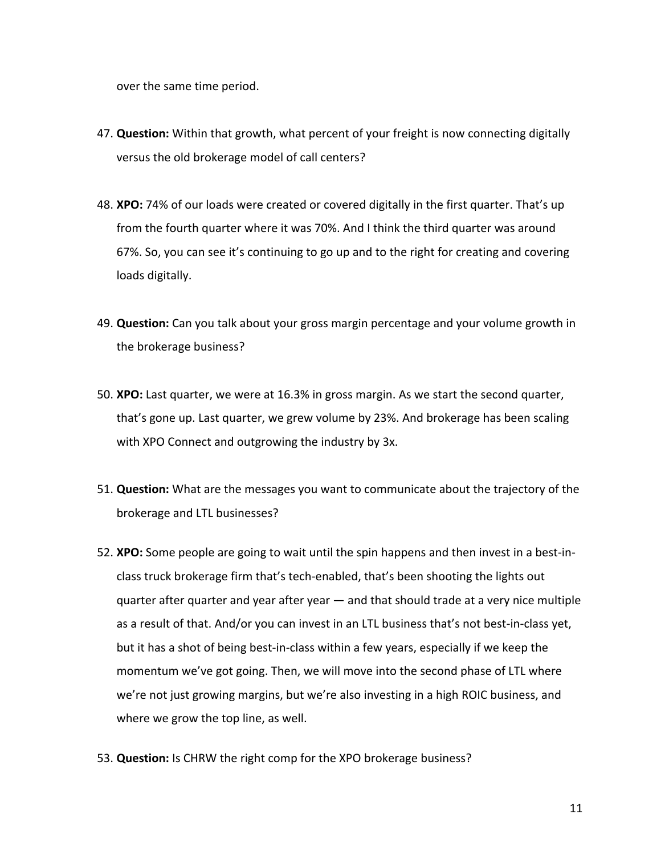over the same time period.

- 47. **Question:** Within that growth, what percent of your freight is now connecting digitally versus the old brokerage model of call centers?
- 48. **XPO:** 74% of our loads were created or covered digitally in the first quarter. That's up from the fourth quarter where it was 70%. And I think the third quarter was around 67%. So, you can see it's continuing to go up and to the right for creating and covering loads digitally.
- 49. **Question:** Can you talk about your gross margin percentage and your volume growth in the brokerage business?
- 50. **XPO:** Last quarter, we were at 16.3% in gross margin. As we start the second quarter, that's gone up. Last quarter, we grew volume by 23%. And brokerage has been scaling with XPO Connect and outgrowing the industry by 3x.
- 51. **Question:** What are the messages you want to communicate about the trajectory of the brokerage and LTL businesses?
- 52. **XPO:** Some people are going to wait until the spin happens and then invest in a best-inclass truck brokerage firm that's tech-enabled, that's been shooting the lights out quarter after quarter and year after year — and that should trade at a very nice multiple as a result of that. And/or you can invest in an LTL business that's not best-in-class yet, but it has a shot of being best-in-class within a few years, especially if we keep the momentum we've got going. Then, we will move into the second phase of LTL where we're not just growing margins, but we're also investing in a high ROIC business, and where we grow the top line, as well.
- 53. **Question:** Is CHRW the right comp for the XPO brokerage business?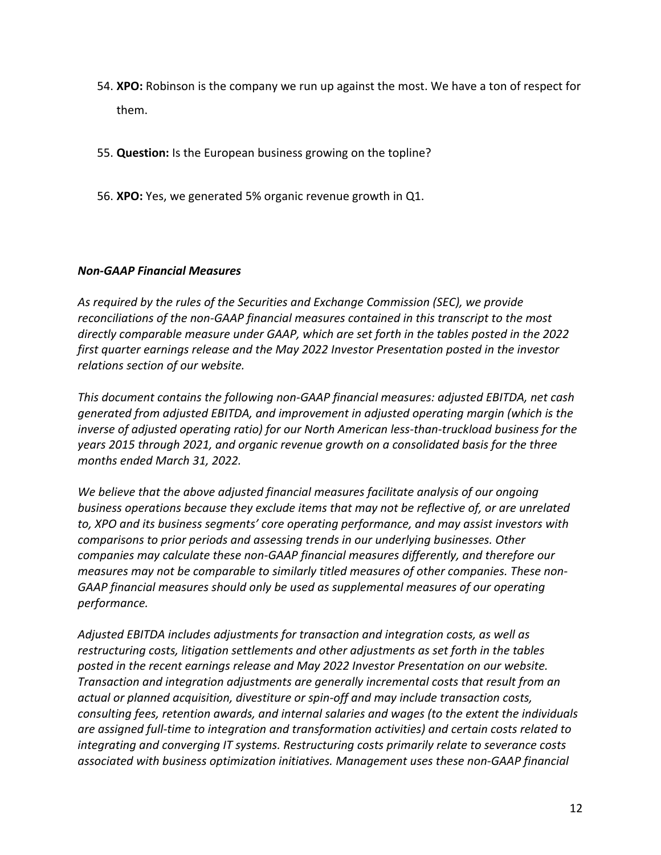- 54. **XPO:** Robinson is the company we run up against the most. We have a ton of respect for them.
- 55. **Question:** Is the European business growing on the topline?
- 56. **XPO:** Yes, we generated 5% organic revenue growth in Q1.

## *Non-GAAP Financial Measures*

*As required by the rules of the Securities and Exchange Commission (SEC), we provide reconciliations of the non-GAAP financial measures contained in this transcript to the most directly comparable measure under GAAP, which are set forth in the tables posted in the 2022 first quarter earnings release and the May 2022 Investor Presentation posted in the investor relations section of our website.* 

*This document contains the following non-GAAP financial measures: adjusted EBITDA, net cash generated from adjusted EBITDA, and improvement in adjusted operating margin (which is the inverse of adjusted operating ratio) for our North American less-than-truckload business for the years 2015 through 2021, and organic revenue growth on a consolidated basis for the three months ended March 31, 2022.*

*We believe that the above adjusted financial measures facilitate analysis of our ongoing business operations because they exclude items that may not be reflective of, or are unrelated to, XPO and its business segments' core operating performance, and may assist investors with comparisons to prior periods and assessing trends in our underlying businesses. Other companies may calculate these non-GAAP financial measures differently, and therefore our measures may not be comparable to similarly titled measures of other companies. These non-GAAP financial measures should only be used as supplemental measures of our operating performance.* 

*Adjusted EBITDA includes adjustments for transaction and integration costs, as well as restructuring costs, litigation settlements and other adjustments as set forth in the tables posted in the recent earnings release and May 2022 Investor Presentation on our website. Transaction and integration adjustments are generally incremental costs that result from an actual or planned acquisition, divestiture or spin-off and may include transaction costs, consulting fees, retention awards, and internal salaries and wages (to the extent the individuals are assigned full-time to integration and transformation activities) and certain costs related to integrating and converging IT systems. Restructuring costs primarily relate to severance costs associated with business optimization initiatives. Management uses these non-GAAP financial*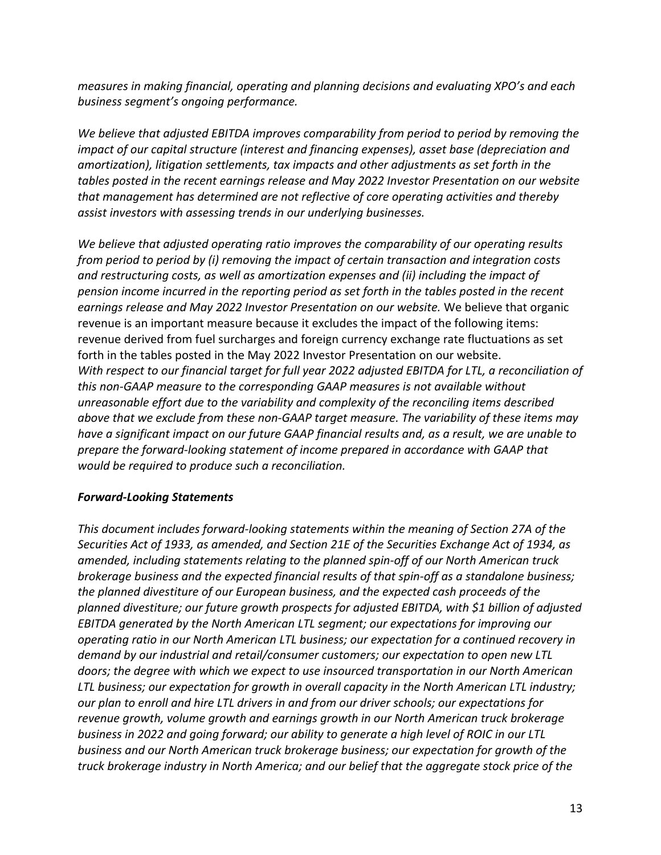*measures in making financial, operating and planning decisions and evaluating XPO's and each business segment's ongoing performance.* 

*We believe that adjusted EBITDA improves comparability from period to period by removing the impact of our capital structure (interest and financing expenses), asset base (depreciation and amortization), litigation settlements, tax impacts and other adjustments as set forth in the tables posted in the recent earnings release and May 2022 Investor Presentation on our website that management has determined are not reflective of core operating activities and thereby assist investors with assessing trends in our underlying businesses.* 

*We believe that adjusted operating ratio improves the comparability of our operating results from period to period by (i) removing the impact of certain transaction and integration costs and restructuring costs, as well as amortization expenses and (ii) including the impact of pension income incurred in the reporting period as set forth in the tables posted in the recent earnings release and May 2022 Investor Presentation on our website.* We believe that organic revenue is an important measure because it excludes the impact of the following items: revenue derived from fuel surcharges and foreign currency exchange rate fluctuations as set forth in the tables posted in the May 2022 Investor Presentation on our website. *With respect to our financial target for full year 2022 adjusted EBITDA for LTL, a reconciliation of this non-GAAP measure to the corresponding GAAP measures is not available without unreasonable effort due to the variability and complexity of the reconciling items described above that we exclude from these non-GAAP target measure. The variability of these items may have a significant impact on our future GAAP financial results and, as a result, we are unable to prepare the forward-looking statement of income prepared in accordance with GAAP that would be required to produce such a reconciliation.* 

## *Forward-Looking Statements*

*This document includes forward-looking statements within the meaning of Section 27A of the Securities Act of 1933, as amended, and Section 21E of the Securities Exchange Act of 1934, as amended, including statements relating to the planned spin-off of our North American truck brokerage business and the expected financial results of that spin-off as a standalone business; the planned divestiture of our European business, and the expected cash proceeds of the planned divestiture; our future growth prospects for adjusted EBITDA, with \$1 billion of adjusted EBITDA generated by the North American LTL segment; our expectations for improving our operating ratio in our North American LTL business; our expectation for a continued recovery in demand by our industrial and retail/consumer customers; our expectation to open new LTL doors; the degree with which we expect to use insourced transportation in our North American LTL business; our expectation for growth in overall capacity in the North American LTL industry; our plan to enroll and hire LTL drivers in and from our driver schools; our expectations for revenue growth, volume growth and earnings growth in our North American truck brokerage business in 2022 and going forward; our ability to generate a high level of ROIC in our LTL business and our North American truck brokerage business; our expectation for growth of the truck brokerage industry in North America; and our belief that the aggregate stock price of the*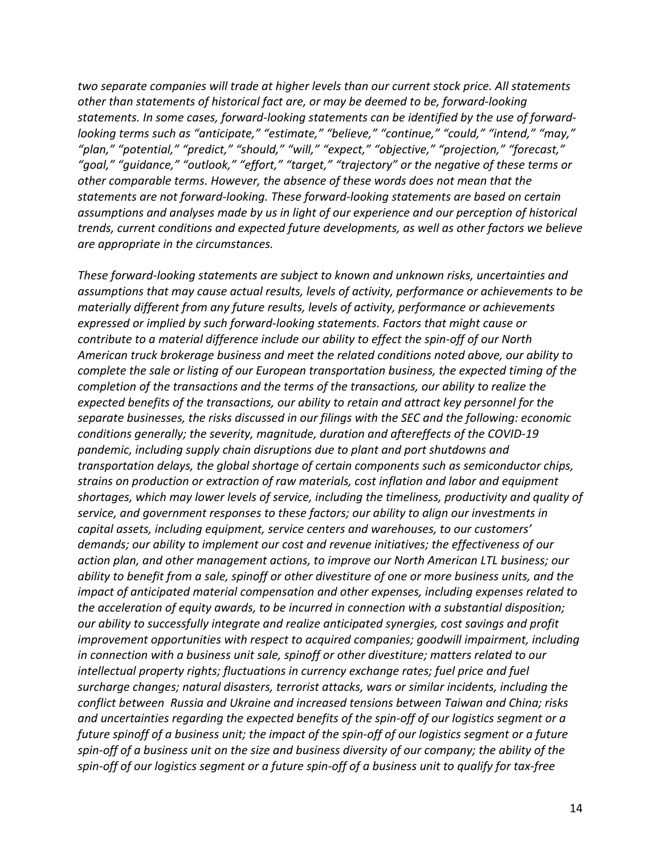*two separate companies will trade at higher levels than our current stock price. All statements other than statements of historical fact are, or may be deemed to be, forward-looking statements. In some cases, forward-looking statements can be identified by the use of forwardlooking terms such as "anticipate," "estimate," "believe," "continue," "could," "intend," "may," "plan," "potential," "predict," "should," "will," "expect," "objective," "projection," "forecast," "goal," "guidance," "outlook," "effort," "target," "trajectory" or the negative of these terms or other comparable terms. However, the absence of these words does not mean that the statements are not forward-looking. These forward-looking statements are based on certain assumptions and analyses made by us in light of our experience and our perception of historical trends, current conditions and expected future developments, as well as other factors we believe are appropriate in the circumstances.* 

*These forward-looking statements are subject to known and unknown risks, uncertainties and assumptions that may cause actual results, levels of activity, performance or achievements to be materially different from any future results, levels of activity, performance or achievements expressed or implied by such forward-looking statements. Factors that might cause or contribute to a material difference include our ability to effect the spin-off of our North American truck brokerage business and meet the related conditions noted above, our ability to complete the sale or listing of our European transportation business, the expected timing of the completion of the transactions and the terms of the transactions, our ability to realize the expected benefits of the transactions, our ability to retain and attract key personnel for the separate businesses, the risks discussed in our filings with the SEC and the following: economic conditions generally; the severity, magnitude, duration and aftereffects of the COVID-19 pandemic, including supply chain disruptions due to plant and port shutdowns and transportation delays, the global shortage of certain components such as semiconductor chips, strains on production or extraction of raw materials, cost inflation and labor and equipment shortages, which may lower levels of service, including the timeliness, productivity and quality of service, and government responses to these factors; our ability to align our investments in capital assets, including equipment, service centers and warehouses, to our customers' demands; our ability to implement our cost and revenue initiatives; the effectiveness of our action plan, and other management actions, to improve our North American LTL business; our ability to benefit from a sale, spinoff or other divestiture of one or more business units, and the impact of anticipated material compensation and other expenses, including expenses related to the acceleration of equity awards, to be incurred in connection with a substantial disposition; our ability to successfully integrate and realize anticipated synergies, cost savings and profit improvement opportunities with respect to acquired companies; goodwill impairment, including in connection with a business unit sale, spinoff or other divestiture; matters related to our intellectual property rights; fluctuations in currency exchange rates; fuel price and fuel surcharge changes; natural disasters, terrorist attacks, wars or similar incidents, including the conflict between Russia and Ukraine and increased tensions between Taiwan and China; risks and uncertainties regarding the expected benefits of the spin-off of our logistics segment or a future spinoff of a business unit; the impact of the spin-off of our logistics segment or a future spin-off of a business unit on the size and business diversity of our company; the ability of the spin-off of our logistics segment or a future spin-off of a business unit to qualify for tax-free*